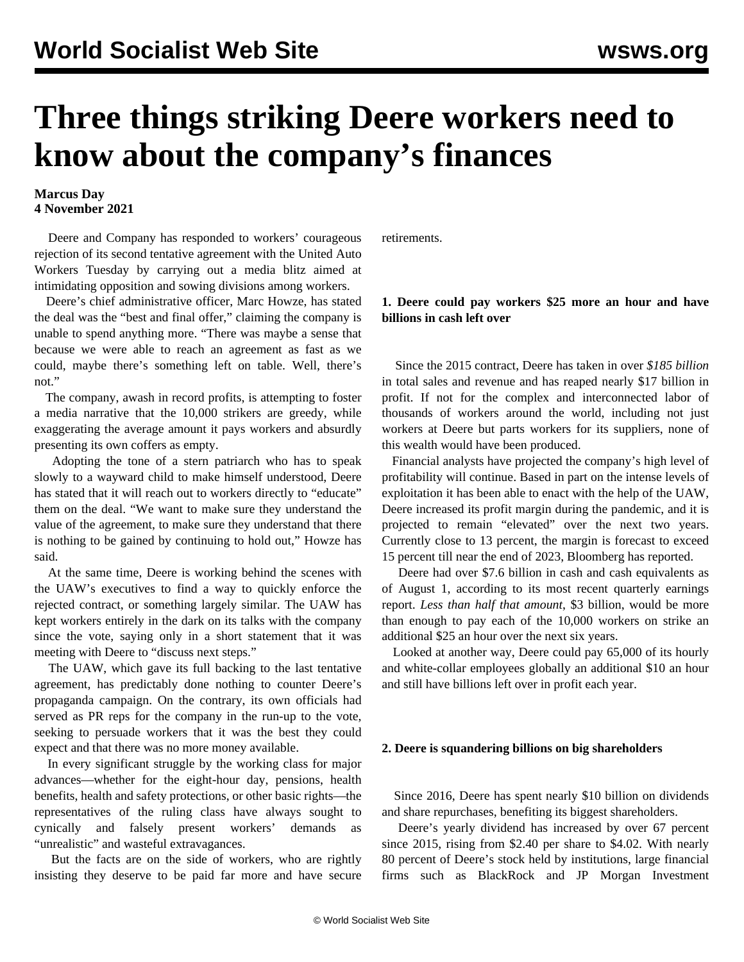# **Three things striking Deere workers need to know about the company's finances**

# **Marcus Day 4 November 2021**

 Deere and Company has responded to workers' courageous rejection of its second tentative agreement with the United Auto Workers Tuesday by carrying out a media blitz aimed at intimidating opposition and sowing divisions among workers.

 Deere's chief administrative officer, Marc Howze, has stated the deal was the "best and final offer," claiming the company is unable to spend anything more. "There was maybe a sense that because we were able to reach an agreement as fast as we could, maybe there's something left on table. Well, there's not."

 The company, awash in record profits, is attempting to foster a media narrative that the 10,000 strikers are greedy, while exaggerating the average amount it pays workers and absurdly presenting its own coffers as empty.

 Adopting the tone of a stern patriarch who has to speak slowly to a wayward child to make himself understood, Deere has stated that it will reach out to workers directly to "educate" them on the deal. "We want to make sure they understand the value of the agreement, to make sure they understand that there is nothing to be gained by continuing to hold out," Howze has said.

 At the same time, Deere is working behind the scenes with the UAW's executives to find a way to quickly enforce the rejected contract, or something largely similar. The UAW has kept workers entirely in the dark on its talks with the company since the vote, saying only in a short statement that it was meeting with Deere to "discuss next steps."

 The UAW, which gave its full backing to the last tentative agreement, has predictably done nothing to counter Deere's propaganda campaign. On the contrary, its own officials had served as PR reps for the company in the run-up to the vote, seeking to persuade workers that it was the best they could expect and that there was no more money available.

 In every significant struggle by the working class for major advances—whether for the eight-hour day, pensions, health benefits, health and safety protections, or other basic rights—the representatives of the ruling class have always sought to cynically and falsely present workers' demands as "unrealistic" and wasteful extravagances.

 But the facts are on the side of workers, who are rightly insisting they deserve to be paid far more and have secure retirements.

# **1. Deere could pay workers \$25 more an hour and have billions in cash left over**

 Since the 2015 contract, Deere has taken in over *\$185 billion* in total sales and revenue and has reaped nearly \$17 billion in profit. If not for the complex and interconnected labor of thousands of workers around the world, including not just workers at Deere but parts workers for its suppliers, none of this wealth would have been produced.

 Financial analysts have projected the company's high level of profitability will continue. Based in part on the intense levels of exploitation it has been able to enact with the help of the UAW, Deere increased its profit margin during the pandemic, and it is projected to remain "elevated" over the next two years. Currently close to 13 percent, the margin is forecast to exceed 15 percent till near the end of 2023, Bloomberg has reported.

 Deere had over \$7.6 billion in cash and cash equivalents as of August 1, according to its most recent quarterly earnings report. *Less than half that amount*, \$3 billion, would be more than enough to pay each of the 10,000 workers on strike an additional \$25 an hour over the next six years.

 Looked at another way, Deere could pay 65,000 of its hourly and white-collar employees globally an additional \$10 an hour and still have billions left over in profit each year.

#### **2. Deere is squandering billions on big shareholders**

 Since 2016, Deere has spent nearly \$10 billion on dividends and share repurchases, benefiting its biggest shareholders.

 Deere's yearly dividend has increased by over 67 percent since 2015, rising from \$2.40 per share to \$4.02. With nearly 80 percent of Deere's stock held by institutions, large financial firms such as BlackRock and JP Morgan Investment